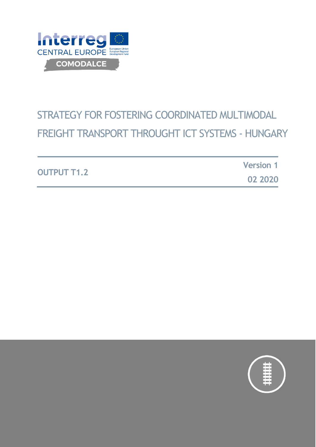

# STRATEGY FOR FOSTERING COORDINATED MULTIMODAL FREIGHT TRANSPORT THROUGHT ICT SYSTEMS - HUNGARY

|                    | <b>Version 1</b> |
|--------------------|------------------|
| <b>OUTPUT T1.2</b> | 02 2020          |

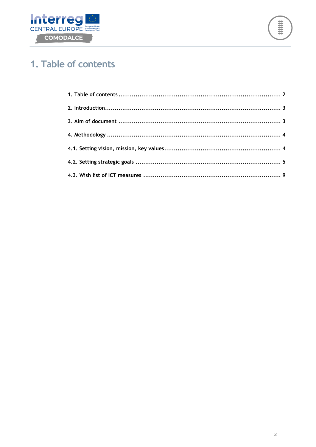



# <span id="page-1-0"></span>1. Table of contents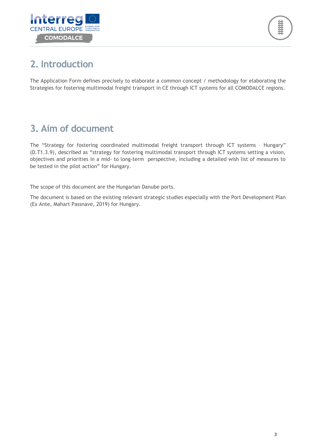



## <span id="page-2-0"></span>**2. Introduction**

The Application Form defines precisely to elaborate a common concept / methodology for elaborating the Strategies for fostering multimodal freight transport in CE through ICT systems for all COMODALCE regions.

# <span id="page-2-1"></span>**3. Aim of document**

The "Strategy for fostering coordinated multimodal freight transport through ICT systems – Hungary" (D.T1.3.9), described as "strategy for fostering multimodal transport through ICT systems setting a vision, objectives and priorities in a mid- to long-term perspective, including a detailed wish list of measures to be tested in the pilot action" for Hungary.

The scope of this document are the Hungarian Danube ports.

The document is based on the existing relevant strategic studies especially with the Port Development Plan (Ex Ante, Mahart Passnave, 2019) for Hungary.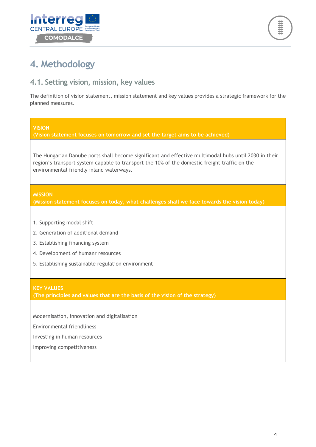



## <span id="page-3-0"></span>**4. Methodology**

### <span id="page-3-1"></span>**4.1. Setting vision, mission, key values**

The definition of vision statement, mission statement and key values provides a strategic framework for the planned measures.

#### **VISION**

**(Vision statement focuses on tomorrow and set the target aims to be achieved)**

The Hungarian Danube ports shall become significant and effective multimodal hubs until 2030 in their region's transport system capable to transport the 10% of the domestic freight traffic on the environmental friendly inland waterways.

#### **MISSION**

**(Mission statement focuses on today, what challenges shall we face towards the vision today)**

- 1. Supporting modal shift
- 2. Generation of additional demand
- 3. Establishing financing system
- 4. Development of humanr resources
- 5. Establishing sustainable regulation environment

#### **KEY VALUES**

**(The principles and values that are the basis of the vision of the strategy)**

Modernisation, innovation and digitalisation

Environmental friendliness

Investing in human resources

Improving competitiveness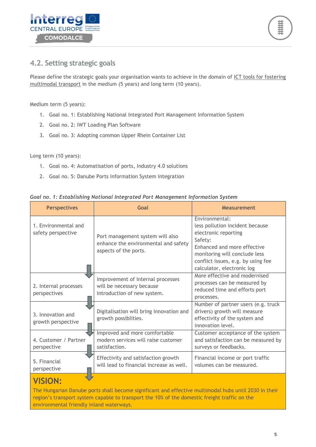



### <span id="page-4-0"></span>**4.2. Setting strategic goals**

Please define the strategic goals your organisation wants to achieve in the domain of ICT tools for fostering multimodal transport in the medium (5 years) and long term (10 years).

Medium term (5 years):

- 1. Goal no. 1: Establishing National Integrated Port Management Information System
- 2. Goal no. 2: IWT Loading Plan Software
- 3. Goal no. 3: Adopting common Upper Rhein Container List

Long term (10 years):

- 1. Goal no. 4: Automatisation of ports, Industry 4.0 solutions
- 2. Goal no. 5: Danube Ports Information System integration

|  |  |  |  | Goal no. 1: Establishing National Integrated Port Management Information System |  |  |
|--|--|--|--|---------------------------------------------------------------------------------|--|--|
|--|--|--|--|---------------------------------------------------------------------------------|--|--|

| <b>Perspectives</b>                                                                                            | Goal                                                                                              | <b>Measurement</b>                                                                                                                                                                                                       |  |
|----------------------------------------------------------------------------------------------------------------|---------------------------------------------------------------------------------------------------|--------------------------------------------------------------------------------------------------------------------------------------------------------------------------------------------------------------------------|--|
| 1. Environmental and<br>safety perspective                                                                     | Port management system will also<br>enhance the environmental and safety<br>aspects of the ports. | Environmental:<br>less pollution incident because<br>electronic reporting<br>Safety:<br>Enhanced and more effective<br>monitoring will conclude less<br>conflict issues, e.g. by using fee<br>calculator, electronic log |  |
| 2. Internal processes<br>perspectives                                                                          | Improvement of internal processes<br>will be necessary because<br>introduction of new system.     | More effective and modernised<br>processes can be measured by<br>reduced time and efforts port<br>processes.                                                                                                             |  |
| 3. Innovation and<br>growth perspective                                                                        | Digitalisation will bring innovation and<br>growth possiblities.                                  | Number of partner users (e.g. truck<br>drivers) growth will measure<br>effectivity of the system and<br>innovation level.                                                                                                |  |
| 4. Customer / Partner<br>perspective                                                                           | Improved and more comfortable<br>modern services will raise customer<br>satisfaction.             | Customer acceptance of the system<br>and satisfaction can be measured by<br>surveys or feedbacks.                                                                                                                        |  |
| Effectivity and satisfaction growth<br>5. Financial<br>will lead to financial increase as well.<br>perspective |                                                                                                   | Financial income or port traffic<br>volumes can be measured.                                                                                                                                                             |  |
| <b>VISION:</b>                                                                                                 |                                                                                                   |                                                                                                                                                                                                                          |  |

The Hungarian Danube ports shall become significant and effective multimodal hubs until 2030 in their region's transport system capable to transport the 10% of the domestic freight traffic on the environmental friendly inland waterways.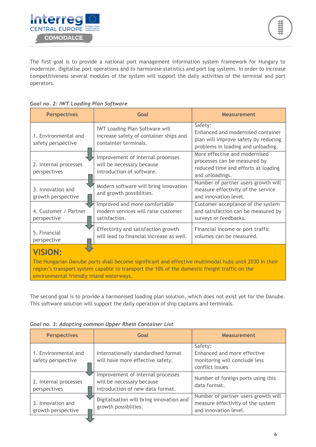

The first goal is to provide a national port management information system framework for Hungary to modernize, digitalise port operations and to harmonise statistics and port log systems. In order to increase competitiveness several modules of the system will support the daily activities of the terminal and port operators.

#### *Goal no. 2: IWT Loading Plan Software*

| <b>Perspectives</b>                                                                                                                                                                                                                                                  | Goal                                                                                                     | <b>Measurement</b>                                                                                                         |  |
|----------------------------------------------------------------------------------------------------------------------------------------------------------------------------------------------------------------------------------------------------------------------|----------------------------------------------------------------------------------------------------------|----------------------------------------------------------------------------------------------------------------------------|--|
| 1. Environmental and<br>safety perspective                                                                                                                                                                                                                           | <b>IWT Loading Plan Software will</b><br>increase safety of container ships and<br>containter terminals. | Safety:<br>Enhanced and modernised container<br>plan will improve safety by reducing<br>problems in loading and unloading. |  |
| 2. Internal processes<br>perspectives                                                                                                                                                                                                                                | Improvement of internal processes<br>will be necessary because<br>introduction of software.              | More effective and modernised<br>processes can be measured by<br>reduced time and efforts at loading<br>and unloadings.    |  |
| 3. Innovation and<br>growth perspective                                                                                                                                                                                                                              | Modern software will bring innovation<br>and growth possiblities.                                        | Number of partner users growth will<br>measure effectivity of the service<br>and innovation level.                         |  |
| 4. Customer / Partner<br>perspective                                                                                                                                                                                                                                 | Improved and more comfortable<br>modern services will raise customer<br>satisfaction.                    | Customer acceptance of the system<br>and satisfaction can be measured by<br>surveys or feedbacks.                          |  |
| 5. Financial<br>perspective                                                                                                                                                                                                                                          | Effectivity and satisfaction growth<br>will lead to financial increase as well.                          | Financial income or port traffic<br>volumes can be measured.                                                               |  |
| <b>VISION:</b><br>The Hungarian Danube ports shall become significant and effective multimodal hubs until 2030 in their<br>region's transport system capable to transport the 10% of the domestic freight traffic on the<br>environmental friendly inland waterways. |                                                                                                          |                                                                                                                            |  |

The second goal is to provide a harmonised loading plan solution, which does not exist yet for the Danube. This software solution will support the daily operation of ship captains and terminals.

| Goal no. 3: Adopting common Upper Rhein Container List |  |  |  |
|--------------------------------------------------------|--|--|--|
|--------------------------------------------------------|--|--|--|

| <b>Perspectives</b>                        | Goal                                                                                               | Measurement                                                                                       |
|--------------------------------------------|----------------------------------------------------------------------------------------------------|---------------------------------------------------------------------------------------------------|
| 1. Environmental and<br>safety perspective | Internationally standardised format<br>will have more effective safety.                            | Safety:<br>Enhanced and more effective<br>monitoring will conclude less<br>conflict issues        |
| 2. Internal processes<br>perspectives      | Improvement of internal processes<br>will be necessary because<br>introduction of new data format. | Number of foreign ports using this<br>data format.                                                |
| 3. Innovation and<br>growth perspective    | Digitalisation will bring innovation and<br>growth possiblities.                                   | Number of partner users growth will<br>measure effectivity of the system<br>and innovation level. |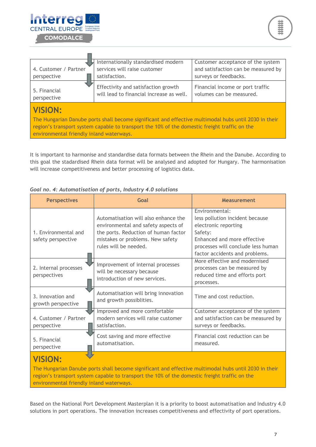

m.

| 4. Customer / Partner<br>perspective                                                                                                                                                                                                                                 | Internationally standardised modern<br>services will raise customer<br>satisfaction. | Customer acceptance of the system<br>and satisfaction can be measured by<br>surveys or feedbacks. |  |
|----------------------------------------------------------------------------------------------------------------------------------------------------------------------------------------------------------------------------------------------------------------------|--------------------------------------------------------------------------------------|---------------------------------------------------------------------------------------------------|--|
| 5. Financial<br>perspective                                                                                                                                                                                                                                          | Effectivity and satisfaction growth<br>will lead to financial increase as well.      | Financial income or port traffic<br>volumes can be measured.                                      |  |
| <b>VISION:</b><br>The Hungarian Danube ports shall become significant and effective multimodal hubs until 2030 in their<br>region's transport system capable to transport the 10% of the domestic freight traffic on the<br>environmental friendly inland waterways. |                                                                                      |                                                                                                   |  |

It is important to harmonise and standardise data formats between the Rhein and the Danube. According to this goal the stadardised Rhein data format will be analysed and adopted for Hungary. The harmonisation will increase competitiveness and better processing of logistics data.

| <b>Perspectives</b>                        | Goal                                                                                                                                                                             | <b>Measurement</b>                                                                                                                                                                          |  |
|--------------------------------------------|----------------------------------------------------------------------------------------------------------------------------------------------------------------------------------|---------------------------------------------------------------------------------------------------------------------------------------------------------------------------------------------|--|
| 1. Environmental and<br>safety perspective | Automatisation will also enhance the<br>environmental and safety aspects of<br>the ports. Reduction of human factor<br>mistakes or problems. New safety<br>rules will be needed. | Environmental:<br>less pollution incident because<br>electronic reporting<br>Safety:<br>Enhanced and more effective<br>processes will conclude less human<br>factor accidents and problems. |  |
| 2. Internal processes<br>perspectives      | Improvement of internal processes<br>will be necessary because<br>introduction of new services.                                                                                  | More effective and modernised<br>processes can be measured by<br>reduced time and efforts port<br>processes.                                                                                |  |
| 3. Innovation and<br>growth perspective    | Automatisation will bring innovation<br>and growth possiblities.                                                                                                                 | Time and cost reduction.                                                                                                                                                                    |  |
| 4. Customer / Partner<br>perspective       | Improved and more comfortable<br>modern services will raise customer<br>satisfaction.                                                                                            | Customer acceptance of the system<br>and satisfaction can be measured by<br>surveys or feedbacks.                                                                                           |  |
| 5. Financial<br>perspective                | Cost saving and more effective<br>automatisation.                                                                                                                                | Financial cost reduction can be<br>measured.                                                                                                                                                |  |
| VISION:                                    |                                                                                                                                                                                  |                                                                                                                                                                                             |  |

*Goal no. 4: Automatisation of ports, Industry 4.0 solutions*

The Hungarian Danube ports shall become significant and effective multimodal hubs until 2030 in their region's transport system capable to transport the 10% of the domestic freight traffic on the environmental friendly inland waterways.

Based on the National Port Development Masterplan it is a priority to boost automatisation and Industry 4.0 solutions in port operations. The innovation increases competitiveness and effectivity of port operations.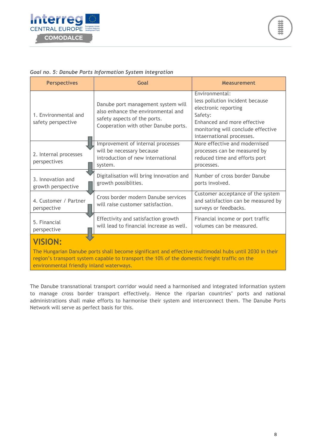

#### *Goal no. 5: Danube Ports Information System integration*

| <b>Perspectives</b>                                                                                                                                                                                                                                                  | Goal                                                                                                                                             | <b>Measurement</b>                                                                                                                                                                     |  |
|----------------------------------------------------------------------------------------------------------------------------------------------------------------------------------------------------------------------------------------------------------------------|--------------------------------------------------------------------------------------------------------------------------------------------------|----------------------------------------------------------------------------------------------------------------------------------------------------------------------------------------|--|
| 1. Environmental and<br>safety perspective                                                                                                                                                                                                                           | Danube port management system will<br>also enhance the environmental and<br>safety aspects of the ports.<br>Cooperation with other Danube ports. | Environmental:<br>less pollution incident because<br>electronic reporting<br>Safety:<br>Enhanced and more effective<br>monitoring will conclude effective<br>intaernational processes. |  |
| 2. Internal processes<br>perspectives                                                                                                                                                                                                                                | Improvement of internal processes<br>will be necessary because<br>introduction of new international<br>system.                                   | More effective and modernised<br>processes can be measured by<br>reduced time and efforts port<br>processes.                                                                           |  |
| 3. Innovation and<br>growth perspective                                                                                                                                                                                                                              | Digitalisation will bring innovation and<br>growth possiblities.                                                                                 | Number of cross border Danube<br>ports involved.                                                                                                                                       |  |
| 4. Customer / Partner<br>perspective                                                                                                                                                                                                                                 | Cross border modern Danube services<br>will raise customer satisfaction.                                                                         | Customer acceptance of the system<br>and satisfaction can be measured by<br>surveys or feedbacks.                                                                                      |  |
| 5. Financial<br>perspective                                                                                                                                                                                                                                          | Effectivity and satisfaction growth<br>will lead to financial increase as well.                                                                  | Financial income or port traffic<br>volumes can be measured.                                                                                                                           |  |
| <b>VISION:</b><br>The Hungarian Danube ports shall become significant and effective multimodal hubs until 2030 in their<br>region's transport system capable to transport the 10% of the domestic freight traffic on the<br>environmental friendly inland waterways. |                                                                                                                                                  |                                                                                                                                                                                        |  |

<span id="page-7-0"></span>The Danube transnational transport corridor would need a harmonised and integrated information system to manage cross border transport effectively. Hence the riparian countries' ports and national administrations shall make efforts to harmonise their system and interconnect them. The Danube Ports Network will serve as perfect basis for this.